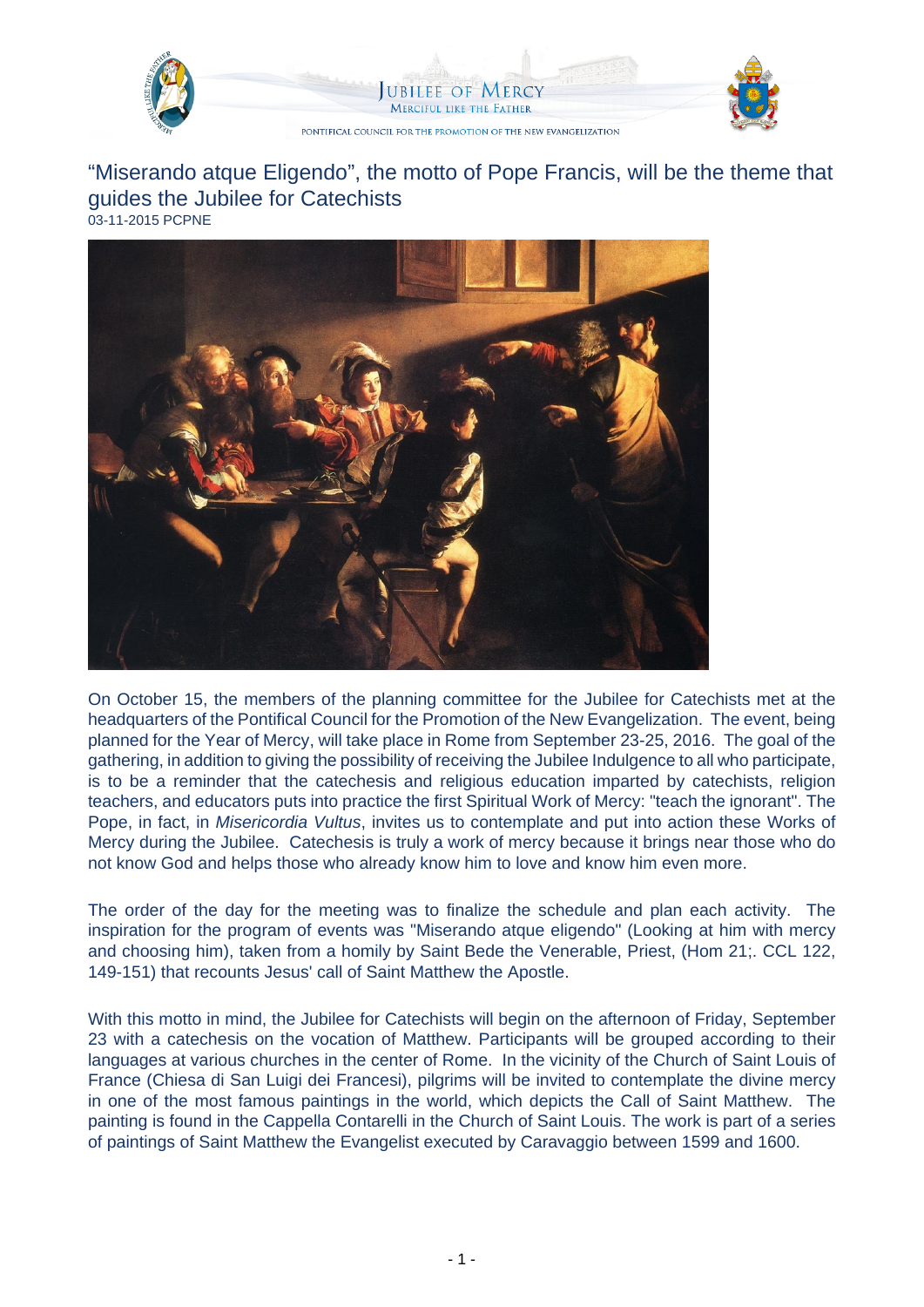

UBILEE OF MERC **MERCIFUL LIKE THE FATHER** 



PONTIFICAL COUNCIL FOR THE PROMOTION OF THE NEW EVANGELIZATION

"Miserando atque Eligendo", the motto of Pope Francis, will be the theme that guides the Jubilee for Catechists 03-11-2015 PCPNE



On October 15, the members of the planning committee for the Jubilee for Catechists met at the headquarters of the Pontifical Council for the Promotion of the New Evangelization. The event, being planned for the Year of Mercy, will take place in Rome from September 23-25, 2016. The goal of the gathering, in addition to giving the possibility of receiving the Jubilee Indulgence to all who participate, is to be a reminder that the catechesis and religious education imparted by catechists, religion teachers, and educators puts into practice the first Spiritual Work of Mercy: "teach the ignorant". The Pope, in fact, in Misericordia Vultus, invites us to contemplate and put into action these Works of Mercy during the Jubilee. Catechesis is truly a work of mercy because it brings near those who do not know God and helps those who already know him to love and know him even more.

The order of the day for the meeting was to finalize the schedule and plan each activity. The inspiration for the program of events was "Miserando atque eligendo" (Looking at him with mercy and choosing him), taken from a homily by Saint Bede the Venerable, Priest, (Hom 21;. CCL 122, 149-151) that recounts Jesus' call of Saint Matthew the Apostle.

With this motto in mind, the Jubilee for Catechists will begin on the afternoon of Friday, September 23 with a catechesis on the vocation of Matthew. Participants will be grouped according to their languages at various churches in the center of Rome. In the vicinity of the Church of Saint Louis of France (Chiesa di San Luigi dei Francesi), pilgrims will be invited to contemplate the divine mercy in one of the most famous paintings in the world, which depicts the Call of Saint Matthew. The painting is found in the Cappella Contarelli in the Church of Saint Louis. The work is part of a series of paintings of Saint Matthew the Evangelist executed by Caravaggio between 1599 and 1600.